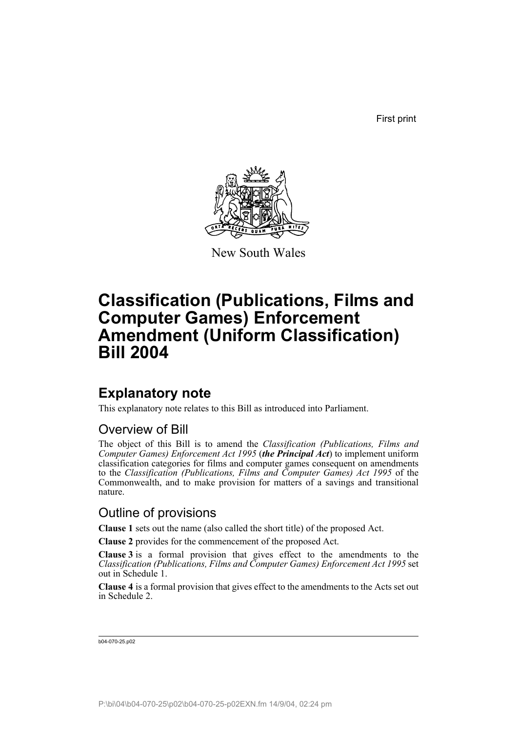First print



New South Wales

# **Classification (Publications, Films and Computer Games) Enforcement Amendment (Uniform Classification) Bill 2004**

## **Explanatory note**

This explanatory note relates to this Bill as introduced into Parliament.

## Overview of Bill

The object of this Bill is to amend the *Classification (Publications, Films and Computer Games) Enforcement Act 1995* (*the Principal Act*) to implement uniform classification categories for films and computer games consequent on amendments to the *Classification (Publications, Films and Computer Games) Act 1995* of the Commonwealth, and to make provision for matters of a savings and transitional nature.

## Outline of provisions

**Clause 1** sets out the name (also called the short title) of the proposed Act.

**Clause 2** provides for the commencement of the proposed Act.

**Clause 3** is a formal provision that gives effect to the amendments to the *Classification (Publications, Films and Computer Games) Enforcement Act 1995* set out in Schedule 1.

**Clause 4** is a formal provision that gives effect to the amendments to the Acts set out in Schedule 2.

b04-070-25.p02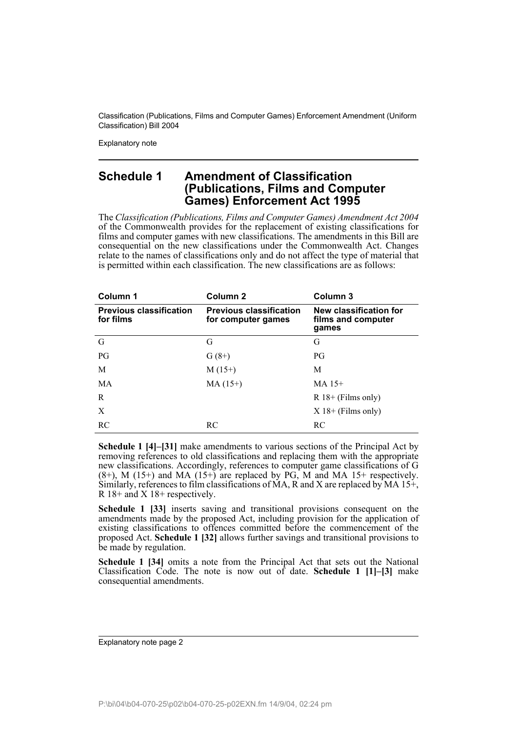Explanatory note

### **Schedule 1 Amendment of Classification (Publications, Films and Computer Games) Enforcement Act 1995**

The *Classification (Publications, Films and Computer Games) Amendment Act 2004* of the Commonwealth provides for the replacement of existing classifications for films and computer games with new classifications. The amendments in this Bill are consequential on the new classifications under the Commonwealth Act. Changes relate to the names of classifications only and do not affect the type of material that is permitted within each classification. The new classifications are as follows:

| Column 1                                    | Column 2                                             | Column 3                                              |
|---------------------------------------------|------------------------------------------------------|-------------------------------------------------------|
| <b>Previous classification</b><br>for films | <b>Previous classification</b><br>for computer games | New classification for<br>films and computer<br>games |
| G                                           | G                                                    | G                                                     |
| PG                                          | $G(8+)$                                              | $P$ G                                                 |
| M                                           | $M(15+)$                                             | M                                                     |
| MA                                          | $MA (15+)$                                           | $MA$ 15+                                              |
| R                                           |                                                      | $R$ 18+ (Films only)                                  |
| X                                           |                                                      | $X$ 18+ (Films only)                                  |
| <b>RC</b>                                   | RC.                                                  | RC                                                    |

**Schedule 1 [4]–[31]** make amendments to various sections of the Principal Act by removing references to old classifications and replacing them with the appropriate new classifications. Accordingly, references to computer game classifications of G  $(8+)$ , M (15+) and MA (15+) are replaced by PG, M and MA 15+ respectively. Similarly, references to film classifications of  $\overline{MA}$ ,  $\overline{R}$  and X are replaced by  $\overline{MA}$  15+. R 18+ and X 18+ respectively.

**Schedule 1 [33]** inserts saving and transitional provisions consequent on the amendments made by the proposed Act, including provision for the application of existing classifications to offences committed before the commencement of the proposed Act. **Schedule 1 [32]** allows further savings and transitional provisions to be made by regulation.

**Schedule 1 [34]** omits a note from the Principal Act that sets out the National Classification Code. The note is now out of date. **Schedule 1 [1]–[3]** make consequential amendments.

Explanatory note page 2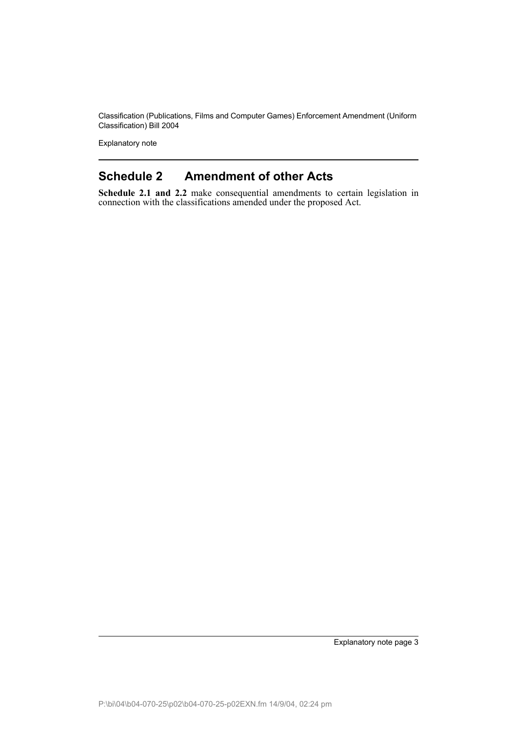Explanatory note

### **Schedule 2 Amendment of other Acts**

**Schedule 2.1 and 2.2** make consequential amendments to certain legislation in connection with the classifications amended under the proposed Act.

Explanatory note page 3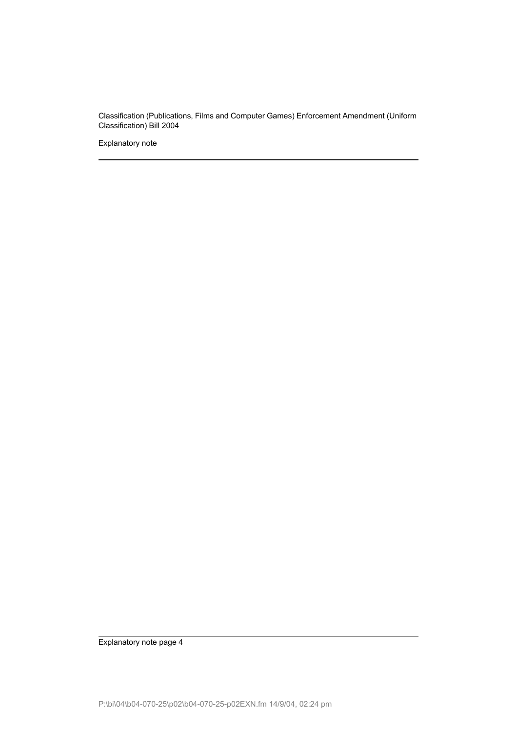Explanatory note

Explanatory note page 4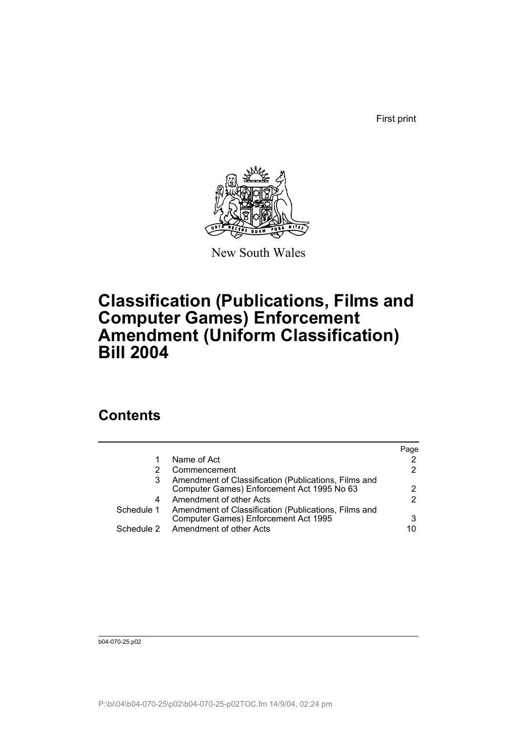First print



New South Wales

# **Classification (Publications, Films and Computer Games) Enforcement Amendment (Uniform Classification) Bill 2004**

## **Contents**

|            |                                                      | Paqe          |
|------------|------------------------------------------------------|---------------|
|            | Name of Act                                          |               |
| 2          | Commencement                                         | $\mathcal{P}$ |
| 3          | Amendment of Classification (Publications, Films and |               |
|            | Computer Games) Enforcement Act 1995 No 63           |               |
| 4          | Amendment of other Acts                              | 2             |
| Schedule 1 | Amendment of Classification (Publications, Films and |               |
|            | Computer Games) Enforcement Act 1995                 | 3             |
|            | Schedule 2 Amendment of other Acts                   | 10            |
|            |                                                      |               |

b04-070-25.p02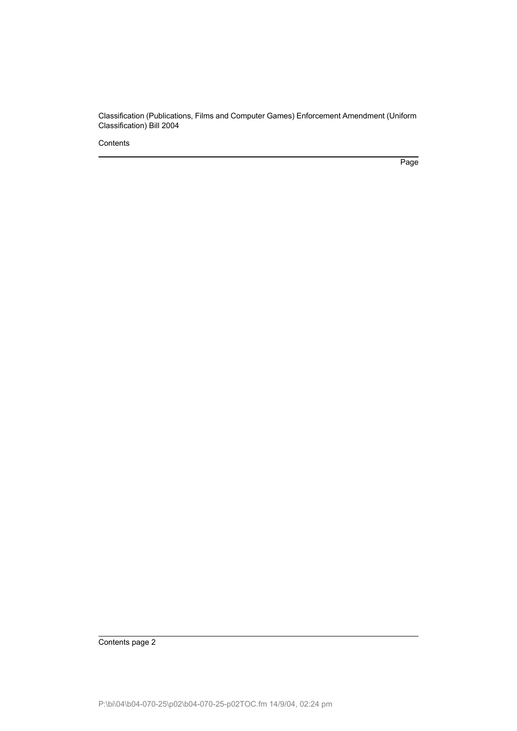**Contents** 

Page

Contents page 2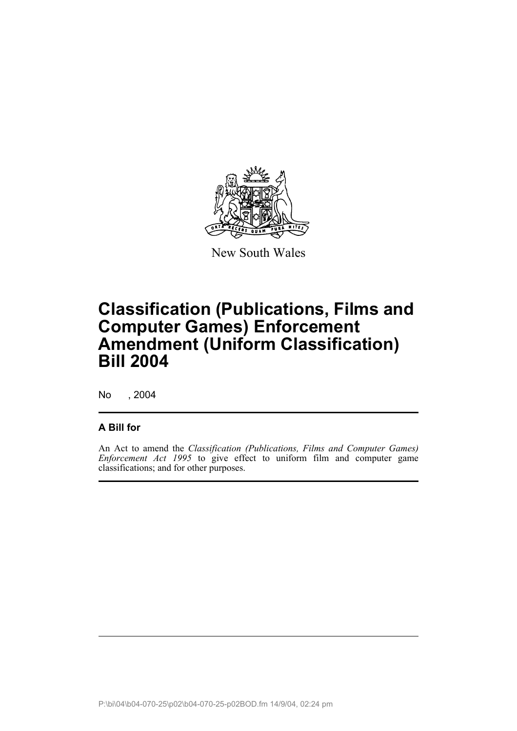

New South Wales

No , 2004

### **A Bill for**

An Act to amend the *Classification (Publications, Films and Computer Games) Enforcement Act 1995* to give effect to uniform film and computer game classifications; and for other purposes.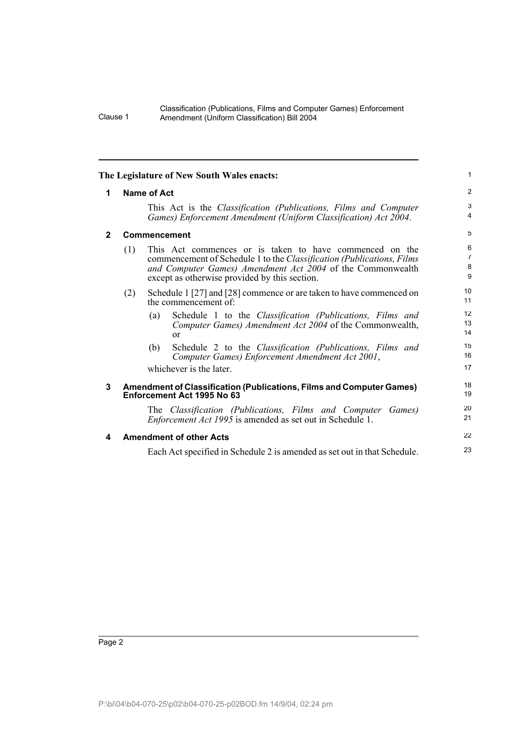| The Legislature of New South Wales enacts: |     | $\mathbf{1}$                                                                                                                                                                                                                                    |                                    |
|--------------------------------------------|-----|-------------------------------------------------------------------------------------------------------------------------------------------------------------------------------------------------------------------------------------------------|------------------------------------|
| <b>Name of Act</b><br>$\mathbf 1$          |     |                                                                                                                                                                                                                                                 | $\overline{2}$                     |
|                                            |     | This Act is the <i>Classification (Publications, Films and Computer</i><br>Games) Enforcement Amendment (Uniform Classification) Act 2004.                                                                                                      | 3<br>$\overline{4}$                |
| $\overline{2}$                             |     | Commencement                                                                                                                                                                                                                                    | 5                                  |
|                                            | (1) | This Act commences or is taken to have commenced on the<br>commencement of Schedule 1 to the Classification (Publications, Films<br>and Computer Games) Amendment Act 2004 of the Commonwealth<br>except as otherwise provided by this section. | 6<br>$\overline{7}$<br>$\bf8$<br>9 |
|                                            | (2) | Schedule 1 [27] and [28] commence or are taken to have commenced on<br>the commencement of:                                                                                                                                                     | 10<br>11                           |
|                                            |     | Schedule 1 to the Classification (Publications, Films and<br>(a)<br>Computer Games) Amendment Act 2004 of the Commonwealth,<br>or                                                                                                               | 12<br>13<br>14                     |
|                                            |     | Schedule 2 to the Classification (Publications, Films and<br>(b)<br>Computer Games) Enforcement Amendment Act 2001,                                                                                                                             | 15<br>16                           |
|                                            |     | whichever is the later.                                                                                                                                                                                                                         | 17                                 |
| 3                                          |     | Amendment of Classification (Publications, Films and Computer Games)<br>Enforcement Act 1995 No 63                                                                                                                                              | 18<br>19                           |
|                                            |     | The Classification (Publications, Films and Computer Games)<br><i>Enforcement Act 1995</i> is amended as set out in Schedule 1.                                                                                                                 | 20<br>21                           |
| 4                                          |     | <b>Amendment of other Acts</b>                                                                                                                                                                                                                  | 22                                 |
|                                            |     | Each Act specified in Schedule 2 is amended as set out in that Schedule.                                                                                                                                                                        | 23                                 |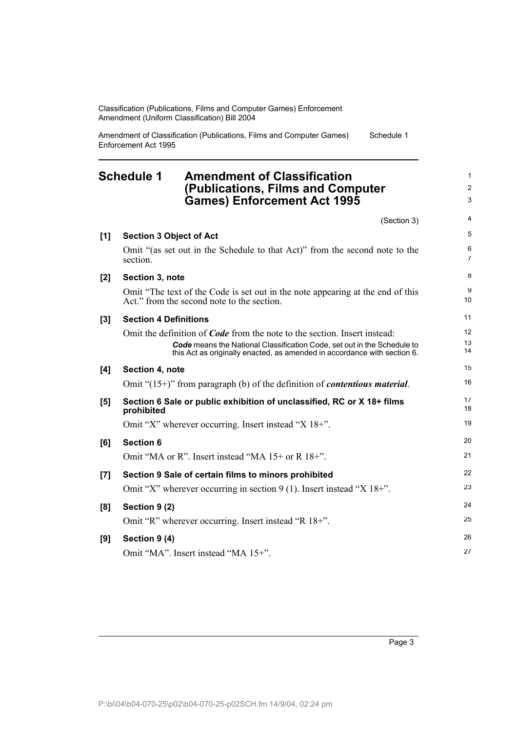Amendment of Classification (Publications, Films and Computer Games) Enforcement Act 1995 Schedule 1

### **Schedule 1 Amendment of Classification (Publications, Films and Computer Games) Enforcement Act 1995**

(Section 3) **[1] Section 3 Object of Act** Omit "(as set out in the Schedule to that Act)" from the second note to the section. **[2] Section 3, note** Omit "The text of the Code is set out in the note appearing at the end of this Act." from the second note to the section. **[3] Section 4 Definitions** Omit the definition of *Code* from the note to the section. Insert instead: *Code* means the National Classification Code, set out in the Schedule to this Act as originally enacted, as amended in accordance with section 6. **[4] Section 4, note** Omit "(15+)" from paragraph (b) of the definition of *contentious material*. **[5] Section 6 Sale or public exhibition of unclassified, RC or X 18+ films prohibited** Omit "X" wherever occurring. Insert instead "X 18+". **[6] Section 6** Omit "MA or R". Insert instead "MA 15+ or R 18+". **[7] Section 9 Sale of certain films to minors prohibited** Omit "X" wherever occurring in section 9 (1). Insert instead "X 18+". **[8] Section 9 (2)** Omit "R" wherever occurring. Insert instead "R 18+". **[9] Section 9 (4)** Omit "MA". Insert instead "MA 15+". 4 5 6 7 8 9 10 11 12 13 14 15 16 17 18 19 20 21 22 23 24 25 26 27

1 2 3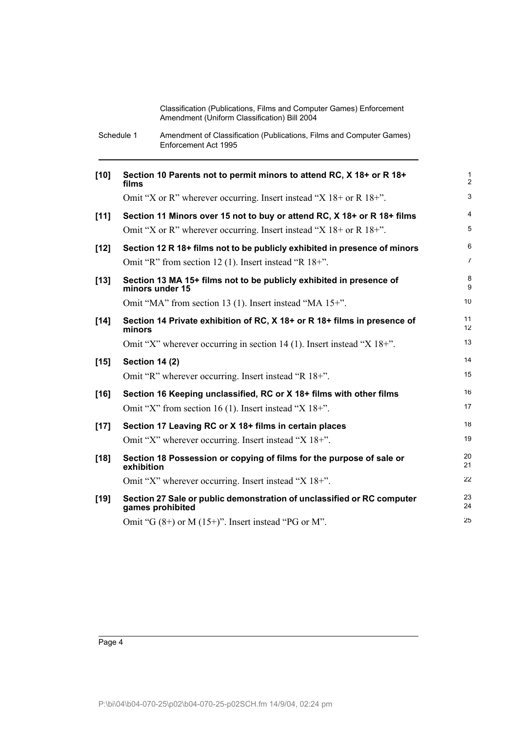| Schedule 1 | Amendment of Classification (Publications, Films and Computer Games) |
|------------|----------------------------------------------------------------------|
|            | Enforcement Act 1995                                                 |

| $[10]$ | Section 10 Parents not to permit minors to attend RC, X 18+ or R 18+<br>films              | $\mathbf{1}$<br>$\overline{2}$ |
|--------|--------------------------------------------------------------------------------------------|--------------------------------|
|        | Omit "X or R" wherever occurring. Insert instead "X $18+$ or R $18+$ ".                    | 3                              |
| $[11]$ | Section 11 Minors over 15 not to buy or attend RC, X 18+ or R 18+ films                    | $\overline{4}$                 |
|        | Omit "X or R" wherever occurring. Insert instead "X 18+ or R 18+".                         | 5                              |
| $[12]$ | Section 12 R 18+ films not to be publicly exhibited in presence of minors                  | 6                              |
|        | Omit "R" from section 12 (1). Insert instead "R 18+".                                      | $\overline{7}$                 |
| $[13]$ | Section 13 MA 15+ films not to be publicly exhibited in presence of<br>minors under 15     | 8<br>9                         |
|        | Omit "MA" from section 13 (1). Insert instead "MA 15+".                                    | 10                             |
| $[14]$ | Section 14 Private exhibition of RC, X 18+ or R 18+ films in presence of<br>minors         | 11<br>12                       |
|        | Omit "X" wherever occurring in section 14 (1). Insert instead "X $18+$ ".                  | 13                             |
| $[15]$ | <b>Section 14 (2)</b>                                                                      | 14                             |
|        | Omit "R" wherever occurring. Insert instead "R 18+".                                       | 15                             |
| $[16]$ | Section 16 Keeping unclassified, RC or X 18+ films with other films                        | 16                             |
|        | Omit "X" from section 16 (1). Insert instead "X $18+$ ".                                   | 17                             |
| $[17]$ | Section 17 Leaving RC or X 18+ films in certain places                                     | 18                             |
|        | Omit "X" wherever occurring. Insert instead "X 18+".                                       | 19                             |
| $[18]$ | Section 18 Possession or copying of films for the purpose of sale or<br>exhibition         | 20<br>21                       |
|        | Omit "X" wherever occurring. Insert instead "X 18+".                                       | 22                             |
| $[19]$ | Section 27 Sale or public demonstration of unclassified or RC computer<br>games prohibited | 23<br>24                       |
|        | Omit "G $(8+)$ or M $(15+)$ ". Insert instead "PG or M".                                   | 25                             |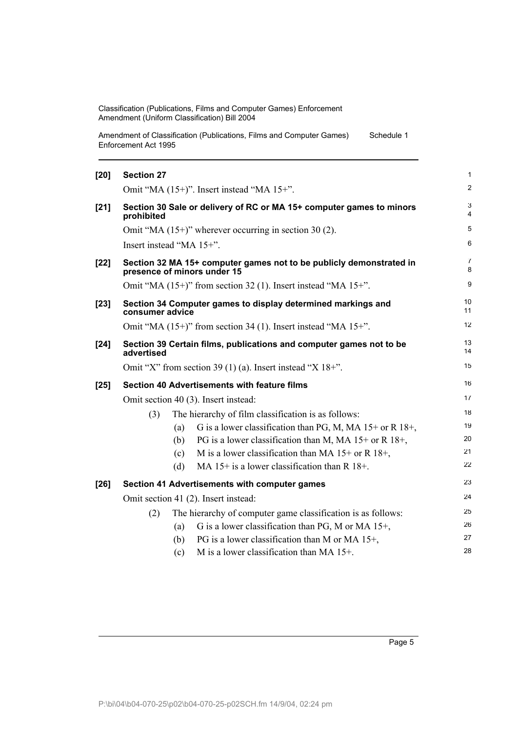Amendment of Classification (Publications, Films and Computer Games) Enforcement Act 1995 Schedule 1

| $[20]$ | <b>Section 27</b>                             |     |                                                                                                    | 1              |
|--------|-----------------------------------------------|-----|----------------------------------------------------------------------------------------------------|----------------|
|        |                                               |     | Omit "MA $(15+)$ ". Insert instead "MA $15+$ ".                                                    | $\overline{2}$ |
| $[21]$ | prohibited                                    |     | Section 30 Sale or delivery of RC or MA 15+ computer games to minors                               | 3<br>4         |
|        |                                               |     | Omit "MA $(15+)$ " wherever occurring in section 30 (2).                                           | 5              |
|        | Insert instead "MA 15+".                      |     |                                                                                                    | 6              |
| $[22]$ |                                               |     | Section 32 MA 15+ computer games not to be publicly demonstrated in<br>presence of minors under 15 | 7<br>8         |
|        |                                               |     | Omit "MA $(15+)$ " from section 32 (1). Insert instead "MA $15+$ ".                                | 9              |
| $[23]$ | consumer advice                               |     | Section 34 Computer games to display determined markings and                                       | 10<br>11       |
|        |                                               |     | Omit "MA $(15+)$ " from section 34 (1). Insert instead "MA $15+$ ".                                | 12             |
| $[24]$ | advertised                                    |     | Section 39 Certain films, publications and computer games not to be                                | 13<br>14       |
|        |                                               |     | Omit "X" from section 39 (1) (a). Insert instead "X $18+$ ".                                       | 15             |
| $[25]$ |                                               |     | <b>Section 40 Advertisements with feature films</b>                                                | 16             |
|        |                                               |     | Omit section 40 (3). Insert instead:                                                               | 17             |
|        | (3)                                           |     | The hierarchy of film classification is as follows:                                                | 18             |
|        |                                               | (a) | G is a lower classification than PG, M, MA $15+$ or R $18+$ ,                                      | 19             |
|        |                                               | (b) | PG is a lower classification than M, MA $15+$ or R $18+$ ,                                         | 20             |
|        |                                               | (c) | M is a lower classification than MA $15+$ or R $18+$ ,                                             | 21             |
|        |                                               | (d) | MA $15+$ is a lower classification than R $18+$ .                                                  | 22             |
| $[26]$ | Section 41 Advertisements with computer games |     | 23                                                                                                 |                |
|        |                                               |     | Omit section 41 (2). Insert instead:                                                               | 24             |
|        | (2)                                           |     | The hierarchy of computer game classification is as follows:                                       | 25             |
|        |                                               | (a) | G is a lower classification than PG, M or MA $15+$ ,                                               | 26             |
|        |                                               | (b) | PG is a lower classification than M or MA $15+$ ,                                                  | 27             |
|        |                                               | (c) | M is a lower classification than MA 15+.                                                           | 28             |

Page 5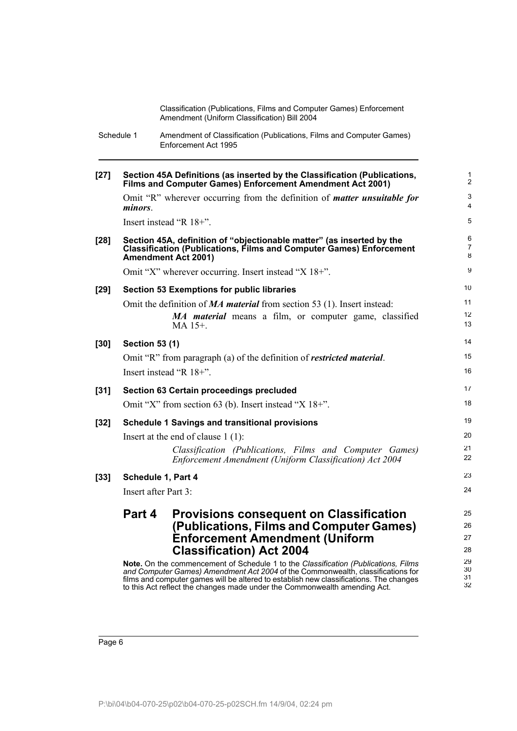Schedule 1 Amendment of Classification (Publications, Films and Computer Games) Enforcement Act 1995

| $[27]$ |                         | Section 45A Definitions (as inserted by the Classification (Publications,<br>Films and Computer Games) Enforcement Amendment Act 2001)                                                                                                                                                                                                       | 1<br>2                   |
|--------|-------------------------|----------------------------------------------------------------------------------------------------------------------------------------------------------------------------------------------------------------------------------------------------------------------------------------------------------------------------------------------|--------------------------|
|        | <i>minors</i>           | Omit "R" wherever occurring from the definition of <i>matter unsuitable for</i>                                                                                                                                                                                                                                                              | 3<br>$\overline{4}$      |
|        | Insert instead "R 18+". |                                                                                                                                                                                                                                                                                                                                              | 5                        |
| $[28]$ |                         | Section 45A, definition of "objectionable matter" (as inserted by the<br><b>Classification (Publications, Films and Computer Games) Enforcement</b><br><b>Amendment Act 2001)</b>                                                                                                                                                            | 6<br>$\overline{7}$<br>8 |
|        |                         | Omit "X" wherever occurring. Insert instead "X 18+".                                                                                                                                                                                                                                                                                         | 9                        |
| $[29]$ |                         | <b>Section 53 Exemptions for public libraries</b>                                                                                                                                                                                                                                                                                            | 10                       |
|        |                         | Omit the definition of MA material from section 53 (1). Insert instead:                                                                                                                                                                                                                                                                      | 11                       |
|        |                         | MA material means a film, or computer game, classified<br>$MA$ 15+                                                                                                                                                                                                                                                                           | 12<br>13                 |
| $[30]$ | <b>Section 53 (1)</b>   |                                                                                                                                                                                                                                                                                                                                              | 14                       |
|        |                         | Omit "R" from paragraph (a) of the definition of <i>restricted material</i> .                                                                                                                                                                                                                                                                | 15                       |
|        | Insert instead "R 18+". |                                                                                                                                                                                                                                                                                                                                              | 16                       |
| $[31]$ |                         | Section 63 Certain proceedings precluded                                                                                                                                                                                                                                                                                                     | 17                       |
|        |                         | Omit "X" from section 63 (b). Insert instead "X 18+".                                                                                                                                                                                                                                                                                        | 18                       |
| $[32]$ |                         | <b>Schedule 1 Savings and transitional provisions</b>                                                                                                                                                                                                                                                                                        | 19                       |
|        |                         | Insert at the end of clause $1(1)$ :                                                                                                                                                                                                                                                                                                         | 20                       |
|        |                         | Classification (Publications, Films and Computer Games)<br>Enforcement Amendment (Uniform Classification) Act 2004                                                                                                                                                                                                                           | 21<br>22                 |
| $[33]$ | Schedule 1, Part 4      |                                                                                                                                                                                                                                                                                                                                              | 23                       |
|        | Insert after Part 3:    |                                                                                                                                                                                                                                                                                                                                              | 24                       |
|        | Part 4                  | <b>Provisions consequent on Classification</b>                                                                                                                                                                                                                                                                                               | 25                       |
|        |                         | (Publications, Films and Computer Games)                                                                                                                                                                                                                                                                                                     | 26                       |
|        |                         | <b>Enforcement Amendment (Uniform</b>                                                                                                                                                                                                                                                                                                        | 27                       |
|        |                         | <b>Classification) Act 2004</b>                                                                                                                                                                                                                                                                                                              | 28                       |
|        |                         | Note. On the commencement of Schedule 1 to the Classification (Publications, Films<br>and Computer Games) Amendment Act 2004 of the Commonwealth, classifications for<br>films and computer games will be altered to establish new classifications. The changes<br>to this Act reflect the changes made under the Commonwealth amending Act. | 29<br>30<br>31<br>32     |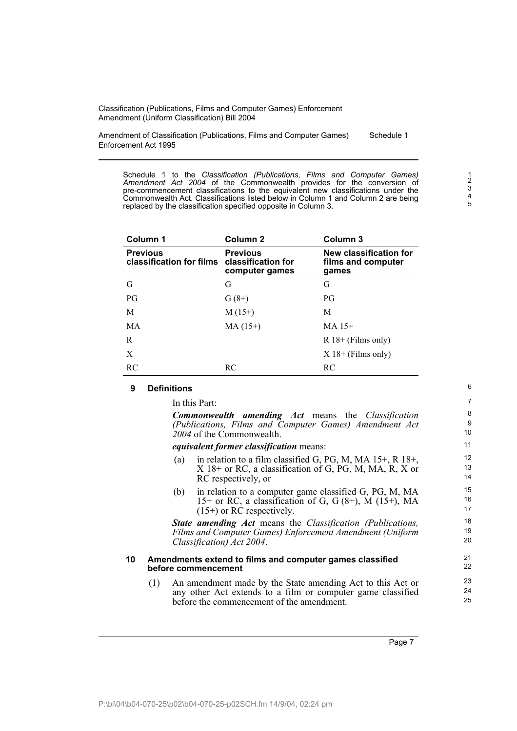Amendment of Classification (Publications, Films and Computer Games) Enforcement Act 1995 Schedule 1

Schedule 1 to the *Classification (Publications, Films and Computer Games) Amendment Act 2004* of the Commonwealth provides for the conversion of pre-commencement classifications to the equivalent new classifications under the Commonwealth Act. Classifications listed below in Column 1 and Column 2 are being replaced by the classification specified opposite in Column 3.

| Column 1                                    | Column 2                                                | Column 3                                              |
|---------------------------------------------|---------------------------------------------------------|-------------------------------------------------------|
| <b>Previous</b><br>classification for films | <b>Previous</b><br>classification for<br>computer games | New classification for<br>films and computer<br>games |
| G                                           | G                                                       | G                                                     |
| $P$ G                                       | $G(8+)$                                                 | $P$ G                                                 |
| M                                           | $M(15+)$                                                | M                                                     |
| MA                                          | $MA (15+)$                                              | MA 15+                                                |
| R                                           |                                                         | $R$ 18+ (Films only)                                  |
| X                                           |                                                         | $X$ 18+ (Films only)                                  |
| <b>RC</b>                                   | RC                                                      | RC                                                    |

#### **9 Definitions**

In this Part: *Commonwealth amending Act* means the *Classification (Publications, Films and Computer Games) Amendment Act*

*2004* of the Commonwealth. *equivalent former classification* means:

- (a) in relation to a film classified G, PG, M, MA  $15+$ , R  $18+$ , X 18+ or RC, a classification of G, PG, M, MA, R, X or RC respectively, or
- (b) in relation to a computer game classified G, PG, M, MA 15+ or RC, a classification of G, G  $(8+)$ , M  $(15+)$ , MA (15+) or RC respectively.

*State amending Act* means the *Classification (Publications, Films and Computer Games) Enforcement Amendment (Uniform Classification) Act 2004*.

#### **10 Amendments extend to films and computer games classified before commencement**

(1) An amendment made by the State amending Act to this Act or any other Act extends to a film or computer game classified before the commencement of the amendment.

Page 7

6 7

18 19 20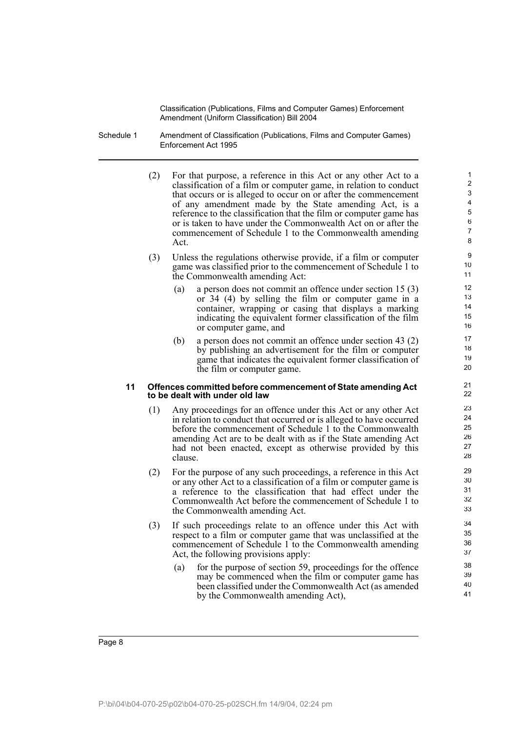- Schedule 1 Amendment of Classification (Publications, Films and Computer Games) Enforcement Act 1995
	- (2) For that purpose, a reference in this Act or any other Act to a classification of a film or computer game, in relation to conduct that occurs or is alleged to occur on or after the commencement of any amendment made by the State amending Act, is a reference to the classification that the film or computer game has or is taken to have under the Commonwealth Act on or after the commencement of Schedule 1 to the Commonwealth amending Act.

- (3) Unless the regulations otherwise provide, if a film or computer game was classified prior to the commencement of Schedule 1 to the Commonwealth amending Act:
	- (a) a person does not commit an offence under section 15 (3) or 34 (4) by selling the film or computer game in a container, wrapping or casing that displays a marking indicating the equivalent former classification of the film or computer game, and
	- (b) a person does not commit an offence under section 43 (2) by publishing an advertisement for the film or computer game that indicates the equivalent former classification of the film or computer game.

#### **11 Offences committed before commencement of State amending Act to be dealt with under old law**

- (1) Any proceedings for an offence under this Act or any other Act in relation to conduct that occurred or is alleged to have occurred before the commencement of Schedule 1 to the Commonwealth amending Act are to be dealt with as if the State amending Act had not been enacted, except as otherwise provided by this clause.
- (2) For the purpose of any such proceedings, a reference in this Act or any other Act to a classification of a film or computer game is a reference to the classification that had effect under the Commonwealth Act before the commencement of Schedule 1 to the Commonwealth amending Act.
- (3) If such proceedings relate to an offence under this Act with respect to a film or computer game that was unclassified at the commencement of Schedule 1 to the Commonwealth amending Act, the following provisions apply:
	- (a) for the purpose of section 59, proceedings for the offence may be commenced when the film or computer game has been classified under the Commonwealth Act (as amended by the Commonwealth amending Act),

Page 8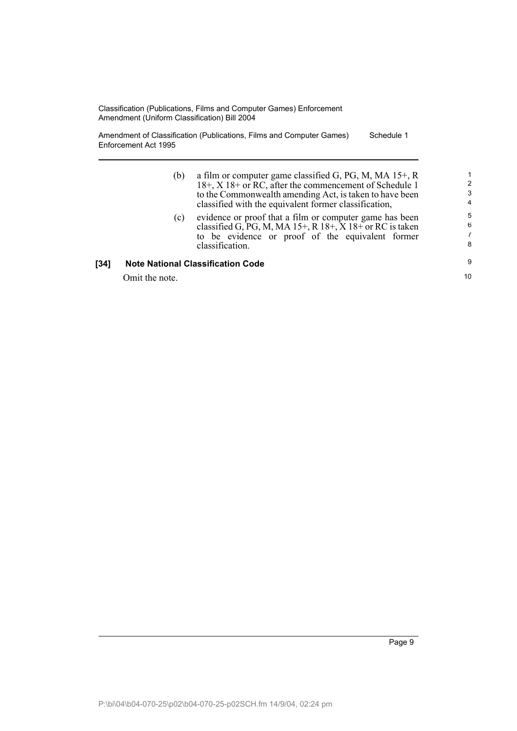Amendment of Classification (Publications, Films and Computer Games) Enforcement Act 1995 Schedule 1

| (b) | a film or computer game classified G, PG, M, MA $15+$ , R<br>18+, X 18+ or RC, after the commencement of Schedule 1<br>to the Commonwealth amending Act, is taken to have been<br>classified with the equivalent former classification, | 1<br>2<br>3<br>4 |
|-----|-----------------------------------------------------------------------------------------------------------------------------------------------------------------------------------------------------------------------------------------|------------------|
| (c) | evidence or proof that a film or computer game has been<br>classified G, PG, M, MA $15+$ , R $18+$ , X $18+$ or RC is taken<br>to be evidence or proof of the equivalent former<br>classification.                                      | 5<br>6<br>7<br>8 |
|     | ational Classification Code                                                                                                                                                                                                             | 9                |

### **[34] Note National Classification Code**

Omit the note.

10